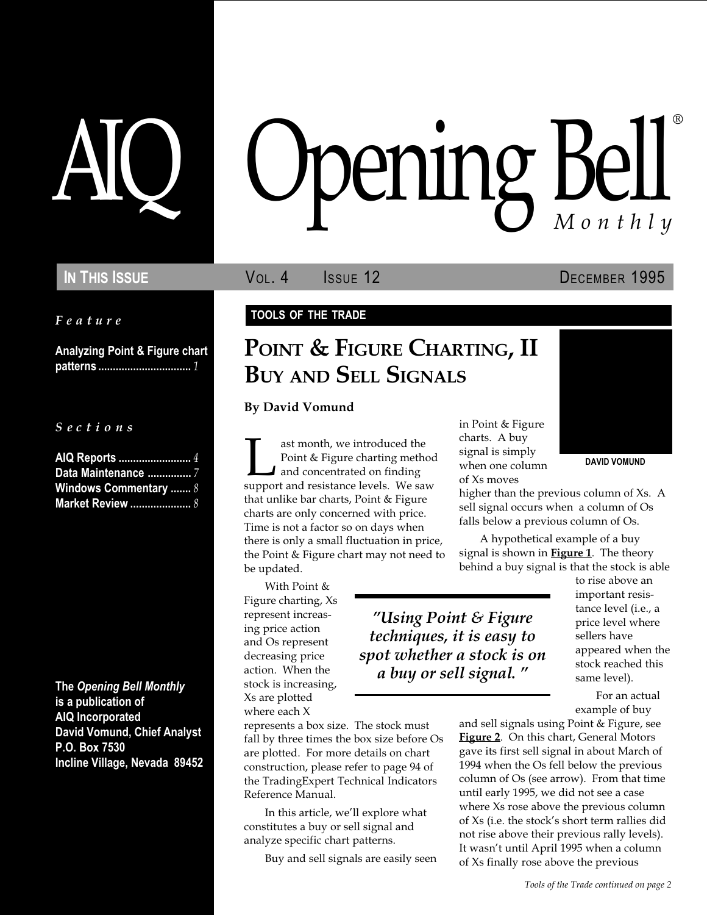Feature

Analyzing Point & Figure chart patterns ................................ 1

S e c t i o n s

| AIQ Reports  4               |  |
|------------------------------|--|
| Data Maintenance  7          |  |
| <b>Windows Commentary  8</b> |  |
| <b>Market Review </b> 8      |  |

The Opening Bell Monthly is a publication of AIQ Incorporated David Vomund, Chief Analyst P.O. Box 7530 Incline Village, Nevada 89452

# pening Bel Monthly ®

In This Issue **Vol. 4** Issue 12 DECEMBER 1995

DAVID VOMUND

#### TOOLS OF THE TRADE

# POINT & FIGURE CHARTING, II BUY AND SELL SIGNALS

By David Vomund

ast month, we introduced the<br>Point & Figure charting method<br>and concentrated on finding<br>support and resistance levels. We saw Point & Figure charting method and concentrated on finding that unlike bar charts, Point & Figure charts are only concerned with price. Time is not a factor so on days when there is only a small fluctuation in price, the Point & Figure chart may not need to be updated.

With Point & Figure charting, Xs represent increasing price action and Os represent decreasing price action. When the stock is increasing, Xs are plotted where each X

represents a box size. The stock must fall by three times the box size before Os are plotted. For more details on chart construction, please refer to page 94 of the TradingExpert Technical Indicators Reference Manual.

In this article, we'll explore what constitutes a buy or sell signal and analyze specific chart patterns.

Buy and sell signals are easily seen

in Point & Figure charts. A buy signal is simply when one column of Xs moves



higher than the previous column of Xs. A sell signal occurs when a column of Os falls below a previous column of Os.

A hypothetical example of a buy signal is shown in **Figure 1**. The theory behind a buy signal is that the stock is able

Using Point & Figure techniques, it is easy to spot whether a stock is on a buy or sell signal.

to rise above an important resistance level (i.e., a price level where sellers have appeared when the stock reached this same level).

For an actual example of buy

and sell signals using Point & Figure, see Figure 2. On this chart, General Motors gave its first sell signal in about March of 1994 when the Os fell below the previous column of Os (see arrow). From that time until early 1995, we did not see a case where Xs rose above the previous column of Xs (i.e. the stock's short term rallies did not rise above their previous rally levels). It wasn't until April 1995 when a column of Xs finally rose above the previous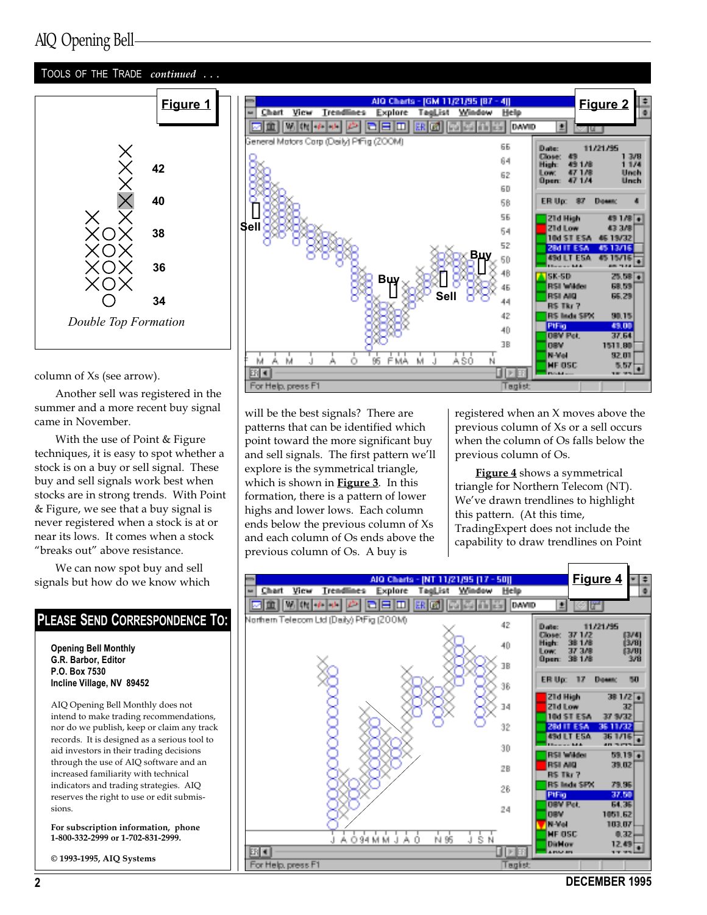## AIQ Opening Bell

#### TOOLS OF THE TRADE continued ...



column of Xs (see arrow).

Another sell was registered in the summer and a more recent buy signal came in November.

With the use of Point & Figure techniques, it is easy to spot whether a stock is on a buy or sell signal. These buy and sell signals work best when stocks are in strong trends. With Point & Figure, we see that a buy signal is never registered when a stock is at or near its lows. It comes when a stock "breaks out" above resistance.

We can now spot buy and sell signals but how do we know which

#### PLEASE SEND CORRESPONDENCE TO:

Opening Bell Monthly G.R. Barbor, Editor P.O. Box 7530 Incline Village, NV 89452

AIQ Opening Bell Monthly does not intend to make trading recommendations, nor do we publish, keep or claim any track records. It is designed as a serious tool to aid investors in their trading decisions through the use of AIQ software and an increased familiarity with technical indicators and trading strategies. AIQ reserves the right to use or edit submissions.

For subscription information, phone 1-800-332-2999 or 1-702-831-2999.

© 1993-1995, AIQ Systems



will be the best signals? There are patterns that can be identified which point toward the more significant buy and sell signals. The first pattern we'll explore is the symmetrical triangle, which is shown in **Figure 3**. In this formation, there is a pattern of lower highs and lower lows. Each column ends below the previous column of Xs and each column of Os ends above the previous column of Os. A buy is

registered when an X moves above the previous column of Xs or a sell occurs when the column of Os falls below the previous column of Os.

Figure 4 shows a symmetrical triangle for Northern Telecom (NT). We've drawn trendlines to highlight this pattern. (At this time, TradingExpert does not include the capability to draw trendlines on Point



2 DECEMBER 1995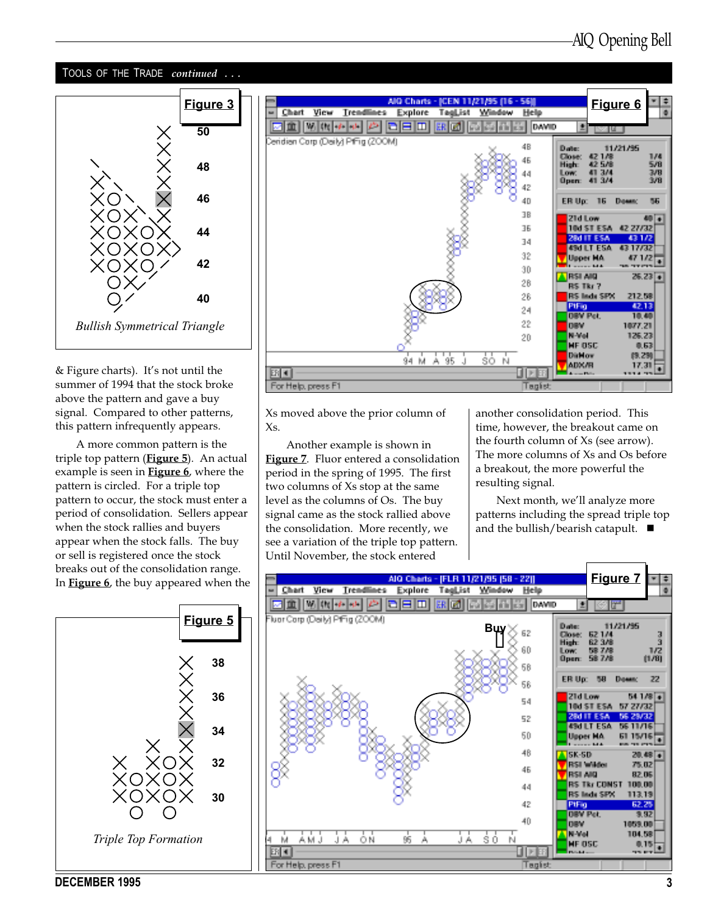#### TOOLS OF THE TRADE continued ...



 $&$  Figure charts). It's not until the summer of 1994 that the stock broke above the pattern and gave a buy signal. Compared to other patterns, this pattern infrequently appears.

A more common pattern is the triple top pattern (Figure 5). An actual example is seen in **Figure 6**, where the pattern is circled. For a triple top pattern to occur, the stock must enter a period of consolidation. Sellers appear when the stock rallies and buyers appear when the stock falls. The buy or sell is registered once the stock breaks out of the consolidation range. In **Figure 6**, the buy appeared when the





Xs moved above the prior column of Xs.

Another example is shown in Figure 7. Fluor entered a consolidation period in the spring of 1995. The first two columns of Xs stop at the same level as the columns of Os. The buy signal came as the stock rallied above the consolidation. More recently, we see a variation of the triple top pattern. Until November, the stock entered

another consolidation period. This time, however, the breakout came on the fourth column of Xs (see arrow). The more columns of Xs and Os before a breakout, the more powerful the resulting signal.

Next month, we'll analyze more patterns including the spread triple top and the bullish/bearish catapult.  $\blacksquare$ 



DECEMBER 1995 3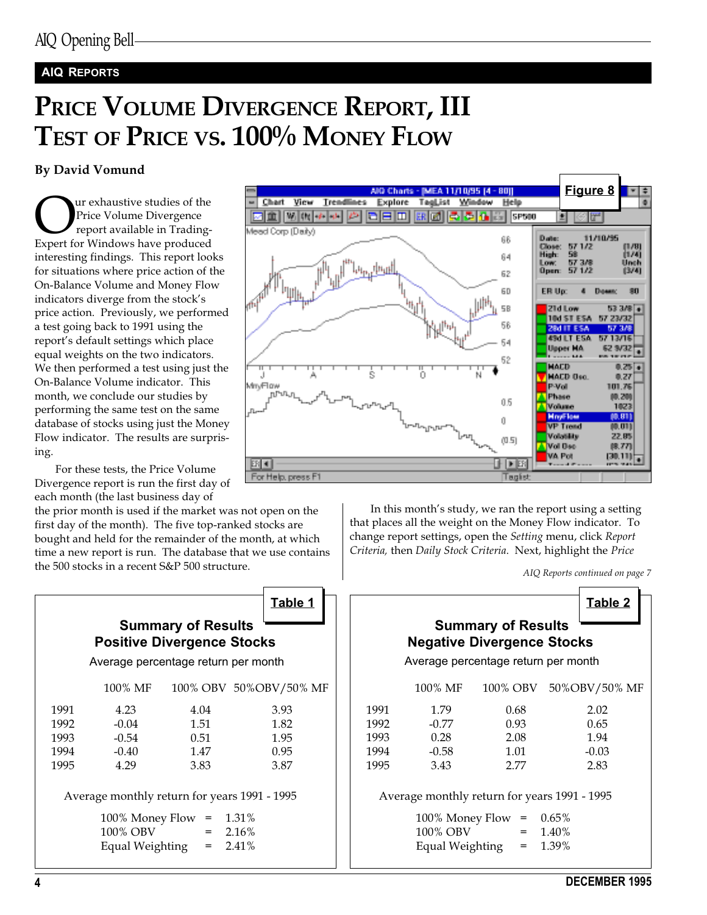#### AIQ REPORTS

# PRICE VOLUME DIVERGENCE REPORT, III TEST OF PRICE VS. 100% MONEY FLOW

#### By David Vomund

**OUR** Price Volume Divergence<br>
report available in Trading-<br>
Expert for Windows have produced Price Volume Divergence report available in Tradinginteresting findings. This report looks for situations where price action of the On-Balance Volume and Money Flow indicators diverge from the stock's price action. Previously, we performed a test going back to 1991 using the report's default settings which place equal weights on the two indicators. We then performed a test using just the On-Balance Volume indicator. This month, we conclude our studies by performing the same test on the same database of stocks using just the Money Flow indicator. The results are surprising.

For these tests, the Price Volume Divergence report is run the first day of each month (the last business day of

the prior month is used if the market was not open on the first day of the month). The five top-ranked stocks are bought and held for the remainder of the month, at which time a new report is run. The database that we use contains the 500 stocks in a recent S&P 500 structure.

|      |                                                     |                                                                | Table 1                 |      |                                                |                                                                                                       |                            | <b>Table 2</b> |
|------|-----------------------------------------------------|----------------------------------------------------------------|-------------------------|------|------------------------------------------------|-------------------------------------------------------------------------------------------------------|----------------------------|----------------|
|      | Average percentage return per month                 | <b>Summary of Results</b><br><b>Positive Divergence Stocks</b> |                         |      |                                                | <b>Summary of Results</b><br><b>Negative Divergence Stocks</b><br>Average percentage return per month |                            |                |
|      | 100% MF                                             |                                                                | 100% OBV 50% OBV/50% MF |      | 100% MF                                        | 100% OBV                                                                                              |                            | 50%OBV/50% N   |
| 1991 | 4.23                                                | 4.04                                                           | 3.93                    | 1991 | 1.79                                           | 0.68                                                                                                  |                            | 2.02           |
| 1992 | $-0.04$                                             | 1.51                                                           | 1.82                    | 1992 | $-0.77$                                        | 0.93                                                                                                  |                            | 0.65           |
| 1993 | $-0.54$                                             | 0.51                                                           | 1.95                    | 1993 | 0.28                                           | 2.08                                                                                                  |                            | 1.94           |
| 1994 | $-0.40$                                             | 1.47                                                           | 0.95                    | 1994 | $-0.58$                                        | 1.01                                                                                                  |                            | $-0.03$        |
| 1995 | 4.29                                                | 3.83                                                           | 3.87                    | 1995 | 3.43                                           | 2.77                                                                                                  |                            | 2.83           |
|      | Average monthly return for years 1991 - 1995        |                                                                |                         |      | Average monthly return for years 1991 - 1995   |                                                                                                       |                            |                |
|      | $100\%$ Money Flow =<br>100% OBV<br>Equal Weighting | $=$<br>$=$                                                     | 1.31%<br>2.16%<br>2.41% |      | 100% Money Flow<br>100% OBV<br>Equal Weighting | $=$<br>$=$<br>$=$                                                                                     | $0.65\%$<br>1.40%<br>1.39% |                |



In this month's study, we ran the report using a setting that places all the weight on the Money Flow indicator. To change report settings, open the Setting menu, click Report Criteria, then Daily Stock Criteria. Next, highlight the Price

AIQ Reports continued on page 7

|      | 100% MF | 100% OBV | 50%OBV/50% MF                                                                                                                                         |
|------|---------|----------|-------------------------------------------------------------------------------------------------------------------------------------------------------|
| 1991 | 1.79    | 0.68     | 2.02                                                                                                                                                  |
| 1992 | $-0.77$ | 0.93     | 0.65                                                                                                                                                  |
| 1993 | 0.28    | 2.08     | 1.94                                                                                                                                                  |
| 1994 | $-0.58$ | 1.01     | $-0.03$                                                                                                                                               |
| 1995 | 3.43    | 2.77     | 2.83                                                                                                                                                  |
|      |         |          |                                                                                                                                                       |
|      |         |          |                                                                                                                                                       |
|      |         |          | <b>Summary of Results</b><br><b>Negative Divergence Stocks</b><br>Average percentage return per month<br>Average monthly return for years 1991 - 1995 |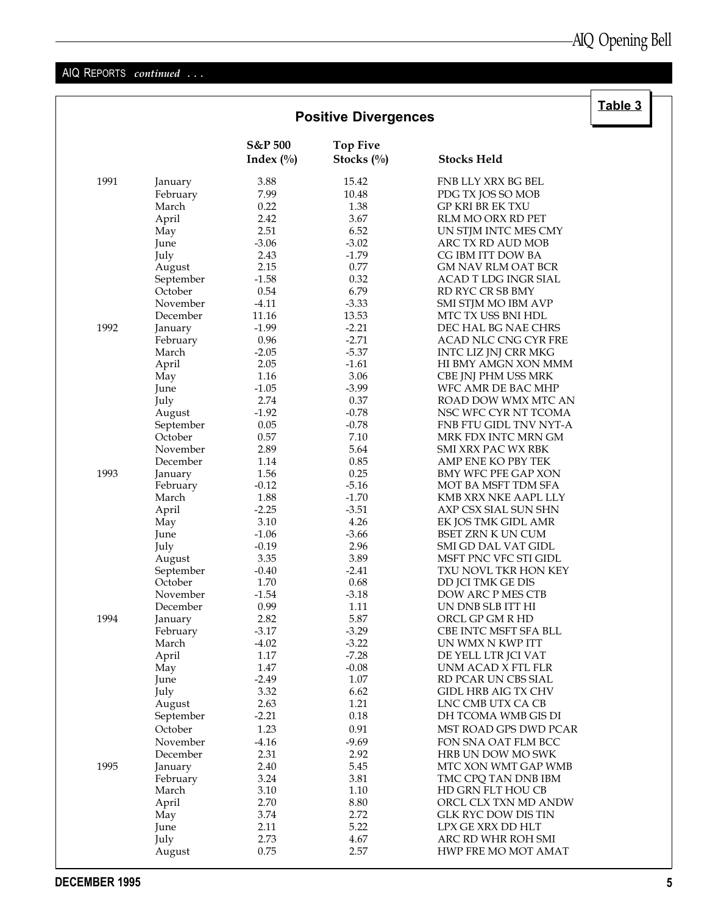## AIQ REPORTS continued ...

|      |                |                         | <b>Positive Divergences</b>      |                                                   | Table 3 |
|------|----------------|-------------------------|----------------------------------|---------------------------------------------------|---------|
|      |                | S&P 500<br>Index $(\%)$ | <b>Top Five</b><br>Stocks $(\%)$ | <b>Stocks Held</b>                                |         |
| 1991 | January        | 3.88                    | 15.42                            | FNB LLY XRX BG BEL                                |         |
|      | February       | 7.99                    | 10.48                            | PDG TX JOS SO MOB                                 |         |
|      | March          | 0.22                    | 1.38                             | <b>GP KRI BR EK TXU</b>                           |         |
|      | April          | 2.42                    | 3.67                             | RLM MO ORX RD PET                                 |         |
|      | May            | 2.51                    | 6.52                             | UN STJM INTC MES CMY                              |         |
|      | June           | $-3.06$                 | $-3.02$                          | ARC TX RD AUD MOB                                 |         |
|      | July           | 2.43                    | $-1.79$                          | CG IBM ITT DOW BA                                 |         |
|      | August         | 2.15                    | 0.77                             | <b>GM NAV RLM OAT BCR</b>                         |         |
|      | September      | $-1.58$                 | 0.32                             | ACAD T LDG INGR SIAL                              |         |
|      | October        | 0.54                    | 6.79                             | RD RYC CR SB BMY                                  |         |
|      | November       | $-4.11$                 | $-3.33$                          | SMI STJM MO IBM AVP                               |         |
|      | December       | 11.16                   | 13.53                            | MTC TX USS BNI HDL                                |         |
| 1992 | January        | $-1.99$                 | $-2.21$                          | DEC HAL BG NAE CHRS                               |         |
|      | February       | 0.96                    | $-2.71$                          | ACAD NLC CNG CYR FRE                              |         |
|      | March          | $-2.05$                 | $-5.37$                          | INTC LIZ JNJ CRR MKG                              |         |
|      | April          | 2.05                    | $-1.61$                          | HI BMY AMGN XON MMM                               |         |
|      | May            | 1.16                    | 3.06                             | CBE JNJ PHM USS MRK                               |         |
|      | June           | $-1.05$<br>2.74         | $-3.99$<br>0.37                  | WFC AMR DE BAC MHP<br>ROAD DOW WMX MTC AN         |         |
|      | July<br>August | $-1.92$                 | $-0.78$                          | NSC WFC CYR NT TCOMA                              |         |
|      | September      | 0.05                    | $-0.78$                          | FNB FTU GIDL TNV NYT-A                            |         |
|      | October        | 0.57                    | 7.10                             | MRK FDX INTC MRN GM                               |         |
|      | November       | 2.89                    | 5.64                             | SMI XRX PAC WX RBK                                |         |
|      | December       | 1.14                    | 0.85                             | AMP ENE KO PBY TEK                                |         |
| 1993 | January        | 1.56                    | 0.25                             | BMY WFC PFE GAP XON                               |         |
|      | February       | $-0.12$                 | $-5.16$                          | MOT BA MSFT TDM SFA                               |         |
|      | March          | 1.88                    | $-1.70$                          | KMB XRX NKE AAPL LLY                              |         |
|      | April          | $-2.25$                 | $-3.51$                          | AXP CSX SIAL SUN SHN                              |         |
|      | May            | 3.10                    | 4.26                             | EK JOS TMK GIDL AMR                               |         |
|      | June           | $-1.06$                 | $-3.66$                          | BSET ZRN K UN CUM                                 |         |
|      | July           | $-0.19$                 | 2.96                             | SMI GD DAL VAT GIDL                               |         |
|      | August         | 3.35                    | 3.89                             | MSFT PNC VFC STI GIDL                             |         |
|      | September      | $-0.40$                 | $-2.41$                          | TXU NOVL TKR HON KEY                              |         |
|      | October        | 1.70                    | 0.68                             | DD JCI TMK GE DIS                                 |         |
|      | November       | $-1.54$                 | $-3.18$                          | DOW ARC P MES CTB                                 |         |
|      | December       | 0.99                    | 1.11                             | UN DNB SLB ITT HI                                 |         |
| 1994 | January        | 2.82                    | 5.87                             | ORCL GP GM R HD                                   |         |
|      | February       | $-3.17$                 | $-3.29$                          | CBE INTC MSFT SFA BLL                             |         |
|      | March          | $-4.02$                 | $-3.22$                          | UN WMX N KWP ITT                                  |         |
|      | April          | 1.17                    | $-7.28$                          | DE YELL LTR JCI VAT                               |         |
|      | May            | 1.47                    | $-0.08$<br>1.07                  | UNM ACAD X FTL FLR                                |         |
|      | June<br>July   | $-2.49$<br>3.32         | 6.62                             | RD PCAR UN CBS SIAL<br><b>GIDL HRB AIG TX CHV</b> |         |
|      | August         | 2.63                    | 1.21                             | LNC CMB UTX CA CB                                 |         |
|      | September      | $-2.21$                 | 0.18                             | DH TCOMA WMB GIS DI                               |         |
|      | October        | 1.23                    | 0.91                             | MST ROAD GPS DWD PCAR                             |         |
|      | November       | $-4.16$                 | $-9.69$                          |                                                   |         |
|      | December       | 2.31                    | 2.92                             | FON SNA OAT FLM BCC<br>HRB UN DOW MO SWK          |         |
| 1995 | January        | 2.40                    | 5.45                             | MTC XON WMT GAP WMB                               |         |
|      | February       | 3.24                    | 3.81                             | TMC CPQ TAN DNB IBM                               |         |
|      | March          | 3.10                    | 1.10                             | HD GRN FLT HOU CB                                 |         |
|      | April          | 2.70                    | 8.80                             | ORCL CLX TXN MD ANDW                              |         |
|      | May            | 3.74                    | 2.72                             | GLK RYC DOW DIS TIN                               |         |
|      | June           | 2.11                    | 5.22                             | LPX GE XRX DD HLT                                 |         |
|      | July           | 2.73                    | 4.67                             | ARC RD WHR ROH SMI                                |         |
|      | August         | 0.75                    | 2.57                             | HWP FRE MO MOT AMAT                               |         |
|      |                |                         |                                  |                                                   |         |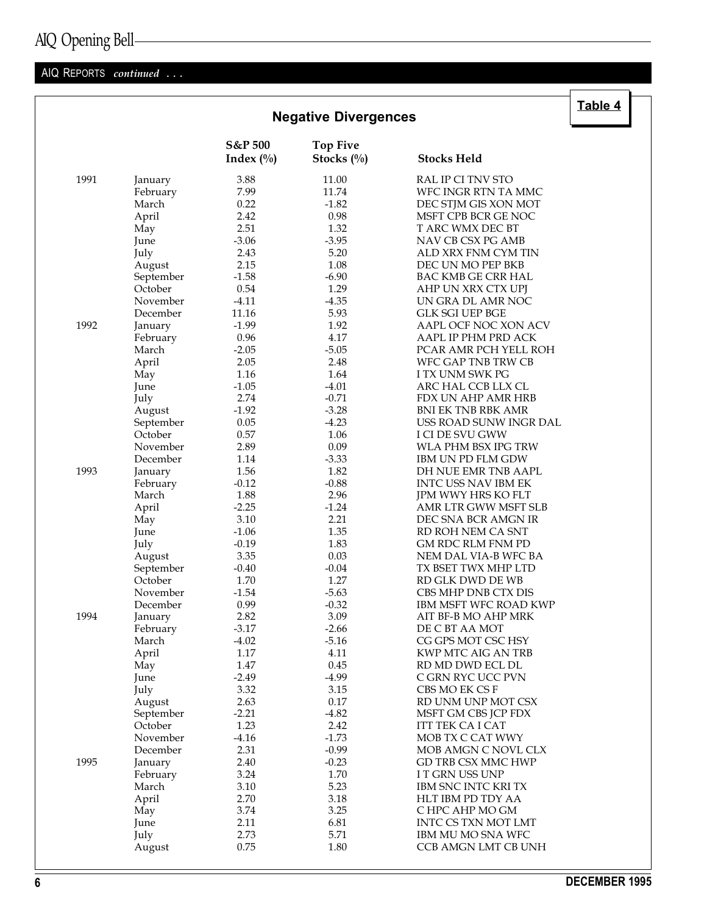|  | AIQ Opening Bell- |  |  |
|--|-------------------|--|--|
|  |                   |  |  |

#### AIQ REPORTS continued ...

|      |                     |                                    | <b>Negative Divergences</b>      |                                                     | <u> Tanic +</u> |
|------|---------------------|------------------------------------|----------------------------------|-----------------------------------------------------|-----------------|
|      |                     | <b>S&amp;P 500</b><br>Index $(\%)$ | <b>Top Five</b><br>Stocks $(\%)$ | <b>Stocks Held</b>                                  |                 |
| 1991 | January             | 3.88                               | 11.00                            | RAL IP CI TNV STO                                   |                 |
|      | February            | 7.99                               | 11.74                            | WFC INGR RTN TA MMC                                 |                 |
|      | March               | 0.22                               | $-1.82$                          | DEC STJM GIS XON MOT                                |                 |
|      | April               | 2.42                               | 0.98                             | MSFT CPB BCR GE NOC                                 |                 |
|      | May                 | 2.51                               | 1.32                             | T ARC WMX DEC BT                                    |                 |
|      | June                | $-3.06$                            | $-3.95$                          | NAV CB CSX PG AMB                                   |                 |
|      | July                | 2.43                               | 5.20                             | ALD XRX FNM CYM TIN                                 |                 |
|      | August              | 2.15                               | 1.08                             | DEC UN MO PEP BKB                                   |                 |
|      | September           | $-1.58$                            | $-6.90$                          | BAC KMB GE CRR HAL                                  |                 |
|      | October             | 0.54                               | 1.29                             | AHP UN XRX CTX UPJ                                  |                 |
|      | November            | $-4.11$                            | $-4.35$                          | UN GRA DL AMR NOC                                   |                 |
|      | December            | 11.16                              | 5.93                             | <b>GLK SGI UEP BGE</b>                              |                 |
| 1992 | January             | $-1.99$                            | 1.92                             | AAPL OCF NOC XON ACV                                |                 |
|      | February            | 0.96                               | 4.17                             | AAPL IP PHM PRD ACK                                 |                 |
|      | March               | $-2.05$                            | $-5.05$                          | PCAR AMR PCH YELL ROH                               |                 |
|      | April               | 2.05                               | 2.48                             | WFC GAP TNB TRW CB                                  |                 |
|      | May                 | 1.16                               | 1.64                             | I TX UNM SWK PG                                     |                 |
|      | June                | $-1.05$                            | $-4.01$                          | ARC HAL CCB LLX CL                                  |                 |
|      | July                | 2.74                               | $-0.71$                          | FDX UN AHP AMR HRB                                  |                 |
|      | August              | $-1.92$                            | $-3.28$                          | <b>BNI EK TNB RBK AMR</b>                           |                 |
|      | September           | 0.05                               | $-4.23$                          | USS ROAD SUNW INGR DAL                              |                 |
|      | October             | 0.57                               | 1.06                             | I CI DE SVU GWW                                     |                 |
|      | November            | 2.89                               | 0.09                             | WLA PHM BSX IPG TRW                                 |                 |
|      | December            | 1.14                               | $-3.33$                          | <b>IBM UN PD FLM GDW</b>                            |                 |
| 1993 | January             | 1.56                               | 1.82                             | DH NUE EMR TNB AAPL                                 |                 |
|      | February            | $-0.12$                            | $-0.88$                          | INTC USS NAV IBM EK                                 |                 |
|      | March               | 1.88                               | 2.96                             | JPM WWY HRS KO FLT                                  |                 |
|      | April               | $-2.25$                            | $-1.24$                          | AMR LTR GWW MSFT SLB                                |                 |
|      | May                 | 3.10                               | 2.21                             | DEC SNA BCR AMGN IR                                 |                 |
|      | June                | $-1.06$                            | 1.35                             | RD ROH NEM CA SNT                                   |                 |
|      | July                | $-0.19$                            | 1.83                             | GM RDC RLM FNM PD                                   |                 |
|      | August              | 3.35                               | 0.03                             | NEM DAL VIA-B WFC BA                                |                 |
|      | September           | $-0.40$                            | $-0.04$                          | TX BSET TWX MHP LTD                                 |                 |
|      | October<br>November | 1.70                               | 1.27                             | RD GLK DWD DE WB                                    |                 |
|      | December            | $-1.54$                            | $-5.63$<br>$-0.32$               | CBS MHP DNB CTX DIS<br><b>IBM MSFT WFC ROAD KWP</b> |                 |
| 1994 |                     | 0.99<br>2.82                       | 3.09                             | AIT BF-B MO AHP MRK                                 |                 |
|      | January<br>February | $-3.17$                            | $-2.66$                          | DE C BT AA MOT                                      |                 |
|      | March               | $-4.02$                            | $-5.16$                          | CG GPS MOT CSC HSY                                  |                 |
|      | April               | 1.17                               | 4.11                             | KWP MTC AIG AN TRB                                  |                 |
|      | May                 | 1.47                               | 0.45                             | RD MD DWD ECL DL                                    |                 |
|      | June                | $-2.49$                            | $-4.99$                          | C GRN RYC UCC PVN                                   |                 |
|      | July                | 3.32                               | 3.15                             | CBS MO EK CS F                                      |                 |
|      | August              | 2.63                               | 0.17                             | RD UNM UNP MOT CSX                                  |                 |
|      | September           | $-2.21$                            | $-4.82$                          | MSFT GM CBS JCP FDX                                 |                 |
|      | October             | 1.23                               | 2.42                             | <b>ITT TEK CA I CAT</b>                             |                 |
|      | November            | $-4.16$                            | $-1.73$                          | MOB TX C CAT WWY                                    |                 |
|      | December            | 2.31                               | $-0.99$                          | MOB AMGN C NOVL CLX                                 |                 |
| 1995 | January             | 2.40                               | $-0.23$                          | GD TRB CSX MMC HWP                                  |                 |
|      | February            | 3.24                               | 1.70                             | I T GRN USS UNP                                     |                 |
|      | March               | 3.10                               | 5.23                             | IBM SNC INTC KRI TX                                 |                 |
|      | April               | 2.70                               | 3.18                             | HLT IBM PD TDY AA                                   |                 |
|      | May                 | 3.74                               | 3.25                             | C HPC AHP MO GM                                     |                 |
|      | June                | 2.11                               | 6.81                             | INTC CS TXN MOT LMT                                 |                 |
|      | July                | 2.73                               | 5.71                             | IBM MU MO SNA WFC                                   |                 |
|      | August              | 0.75                               | 1.80                             | CCB AMGN LMT CB UNH                                 |                 |
|      |                     |                                    |                                  |                                                     |                 |

# $\overline{\overline{\mathsf{Table 4}}}$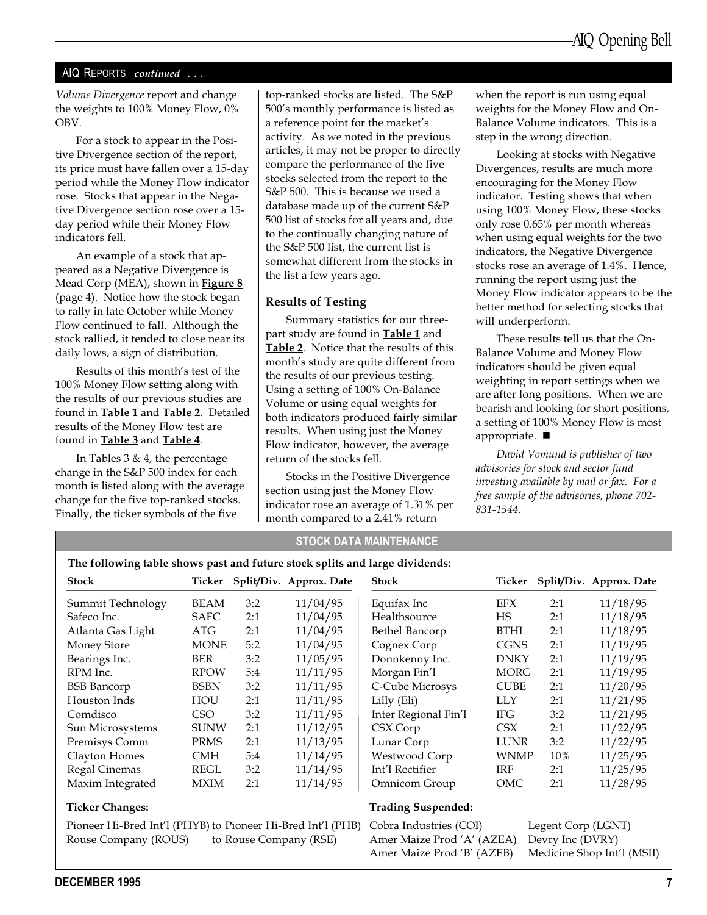#### AIQ REPORTS continued ...

Volume Divergence report and change the weights to 100% Money Flow, 0% OBV.

For a stock to appear in the Positive Divergence section of the report, its price must have fallen over a 15-day period while the Money Flow indicator rose. Stocks that appear in the Negative Divergence section rose over a 15 day period while their Money Flow indicators fell.

An example of a stock that appeared as a Negative Divergence is Mead Corp (MEA), shown in **Figure 8** (page 4). Notice how the stock began to rally in late October while Money Flow continued to fall. Although the stock rallied, it tended to close near its daily lows, a sign of distribution.

Results of this month's test of the 100% Money Flow setting along with the results of our previous studies are found in Table 1 and Table 2. Detailed results of the Money Flow test are found in Table 3 and Table 4.

In Tables 3 & 4, the percentage change in the S&P 500 index for each month is listed along with the average change for the five top-ranked stocks. Finally, the ticker symbols of the five

top-ranked stocks are listed. The S&P 500's monthly performance is listed as a reference point for the market's activity. As we noted in the previous articles, it may not be proper to directly compare the performance of the five stocks selected from the report to the S&P 500. This is because we used a database made up of the current S&P 500 list of stocks for all years and, due to the continually changing nature of the S&P 500 list, the current list is somewhat different from the stocks in the list a few years ago.

#### Results of Testing

Summary statistics for our threepart study are found in **Table 1** and Table 2. Notice that the results of this month's study are quite different from the results of our previous testing. Using a setting of 100% On-Balance Volume or using equal weights for both indicators produced fairly similar results. When using just the Money Flow indicator, however, the average return of the stocks fell.

Stocks in the Positive Divergence section using just the Money Flow indicator rose an average of 1.31% per month compared to a 2.41% return

STOCK DATA MAINTENANCE

when the report is run using equal weights for the Money Flow and On-Balance Volume indicators. This is a step in the wrong direction.

Looking at stocks with Negative Divergences, results are much more encouraging for the Money Flow indicator. Testing shows that when using 100% Money Flow, these stocks only rose 0.65% per month whereas when using equal weights for the two indicators, the Negative Divergence stocks rose an average of 1.4%. Hence, running the report using just the Money Flow indicator appears to be the better method for selecting stocks that will underperform.

These results tell us that the On-Balance Volume and Money Flow indicators should be given equal weighting in report settings when we are after long positions. When we are bearish and looking for short positions, a setting of 100% Money Flow is most appropriate.  $\blacksquare$ 

David Vomund is publisher of two advisories for stock and sector fund investing available by mail or fax. For a free sample of the advisories, phone 702- 831-1544.

| The following table shows past and future stock splits and large dividends:                                                                               |             |     |                                |                           |                  |        |                         |
|-----------------------------------------------------------------------------------------------------------------------------------------------------------|-------------|-----|--------------------------------|---------------------------|------------------|--------|-------------------------|
| <b>Stock</b>                                                                                                                                              |             |     | Ticker Split/Div. Approx. Date | <b>Stock</b>              | Ticker           |        | Split/Div. Approx. Date |
| Summit Technology                                                                                                                                         | <b>BEAM</b> | 3:2 | 11/04/95                       | Equifax Inc               | EFX              | 2:1    | 11/18/95                |
| Safeco Inc.                                                                                                                                               | <b>SAFC</b> | 2:1 | 11/04/95                       | Healthsource              | HS               | 2:1    | 11/18/95                |
| Atlanta Gas Light                                                                                                                                         | ATG         | 2:1 | 11/04/95                       | Bethel Bancorp            | <b>BTHL</b>      | 2:1    | 11/18/95                |
| Money Store                                                                                                                                               | <b>MONE</b> | 5:2 | 11/04/95                       | Cognex Corp               | <b>CGNS</b>      | 2:1    | 11/19/95                |
| Bearings Inc.                                                                                                                                             | BER         | 3:2 | 11/05/95                       | Donnkenny Inc.            | DNKY             | 2:1    | 11/19/95                |
| RPM Inc.                                                                                                                                                  | <b>RPOW</b> | 5:4 | 11/11/95                       | Morgan Fin'l              | <b>MORG</b>      | 2:1    | 11/19/95                |
| <b>BSB</b> Bancorp                                                                                                                                        | <b>BSBN</b> | 3:2 | 11/11/95                       | C-Cube Microsys           | <b>CUBE</b>      | 2:1    | 11/20/95                |
| Houston Inds                                                                                                                                              | HOU         | 2:1 | 11/11/95                       | Lilly (Eli)               | <b>LLY</b>       | 2:1    | 11/21/95                |
| Comdisco                                                                                                                                                  | CSO         | 3:2 | 11/11/95                       | Inter Regional Fin'l      | IFG.             | 3:2    | 11/21/95                |
| Sun Microsystems                                                                                                                                          | <b>SUNW</b> | 2:1 | 11/12/95                       | CSX Corp                  | CSX <sup>1</sup> | 2:1    | 11/22/95                |
| Premisys Comm                                                                                                                                             | PRMS        | 2:1 | 11/13/95                       | Lunar Corp                | <b>LUNR</b>      | 3:2    | 11/22/95                |
| Clayton Homes                                                                                                                                             | CMH         | 5:4 | 11/14/95                       | Westwood Corp             |                  | $10\%$ | 11/25/95                |
| Regal Cinemas                                                                                                                                             | REGL        | 3:2 | 11/14/95                       | Int'l Rectifier           | IRF              | 2:1    | 11/25/95                |
| Maxim Integrated                                                                                                                                          | MXIM        | 2:1 | 11/14/95                       | Omnicom Group             | OMC              | 2:1    | 11/28/95                |
| <b>Ticker Changes:</b>                                                                                                                                    |             |     |                                | <b>Trading Suspended:</b> |                  |        |                         |
| <b>WNMP</b><br>ית יוד וידור מידוד מידוד מידוד של המעדדת/1/ודוד מידוד יחי<br>$\mathbf{I}$ $\mathbf{A}$ $\mathbf{I}$ $\mathbf{A}$ $\mathbf{I}$ $\mathbf{I}$ |             |     |                                |                           |                  |        |                         |

### Pioneer Hi-Bred Int'l (PHYB) to Pioneer Hi-Bred Int'l (PHB)

Rouse Company (ROUS) to Rouse Company (RSE)

Cobra Industries (COI) Legent Corp (LGNT) Amer Maize Prod 'A' (AZEA) Devry Inc (DVRY) Amer Maize Prod 'B' (AZEB) Medicine Shop Int'l (MSII)